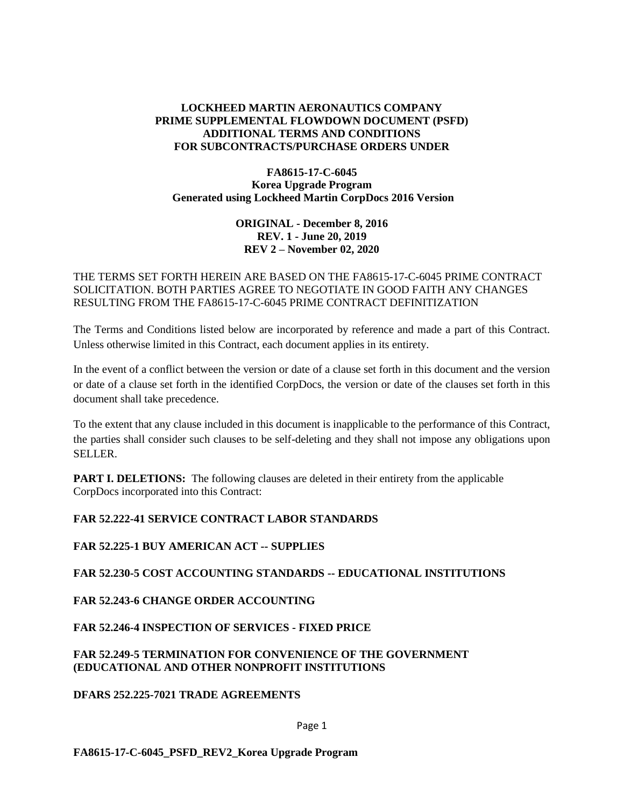# **LOCKHEED MARTIN AERONAUTICS COMPANY PRIME SUPPLEMENTAL FLOWDOWN DOCUMENT (PSFD) ADDITIONAL TERMS AND CONDITIONS FOR SUBCONTRACTS/PURCHASE ORDERS UNDER**

### **FA8615-17-C-6045 Korea Upgrade Program Generated using Lockheed Martin CorpDocs 2016 Version**

### **ORIGINAL - December 8, 2016 REV. 1 - June 20, 2019 REV 2 – November 02, 2020**

# THE TERMS SET FORTH HEREIN ARE BASED ON THE FA8615-17-C-6045 PRIME CONTRACT SOLICITATION. BOTH PARTIES AGREE TO NEGOTIATE IN GOOD FAITH ANY CHANGES RESULTING FROM THE FA8615-17-C-6045 PRIME CONTRACT DEFINITIZATION

The Terms and Conditions listed below are incorporated by reference and made a part of this Contract. Unless otherwise limited in this Contract, each document applies in its entirety.

In the event of a conflict between the version or date of a clause set forth in this document and the version or date of a clause set forth in the identified CorpDocs, the version or date of the clauses set forth in this document shall take precedence.

To the extent that any clause included in this document is inapplicable to the performance of this Contract, the parties shall consider such clauses to be self-deleting and they shall not impose any obligations upon SELLER.

**PART I. DELETIONS:** The following clauses are deleted in their entirety from the applicable CorpDocs incorporated into this Contract:

# **FAR 52.222-41 SERVICE CONTRACT LABOR STANDARDS**

# **FAR 52.225-1 BUY AMERICAN ACT -- SUPPLIES**

### **FAR 52.230-5 COST ACCOUNTING STANDARDS -- EDUCATIONAL INSTITUTIONS**

# **FAR 52.243-6 CHANGE ORDER ACCOUNTING**

# **FAR 52.246-4 INSPECTION OF SERVICES - FIXED PRICE**

## **FAR 52.249-5 TERMINATION FOR CONVENIENCE OF THE GOVERNMENT (EDUCATIONAL AND OTHER NONPROFIT INSTITUTIONS**

### **DFARS 252.225-7021 TRADE AGREEMENTS**

### Page 1

**FA8615-17-C-6045\_PSFD\_REV2\_Korea Upgrade Program**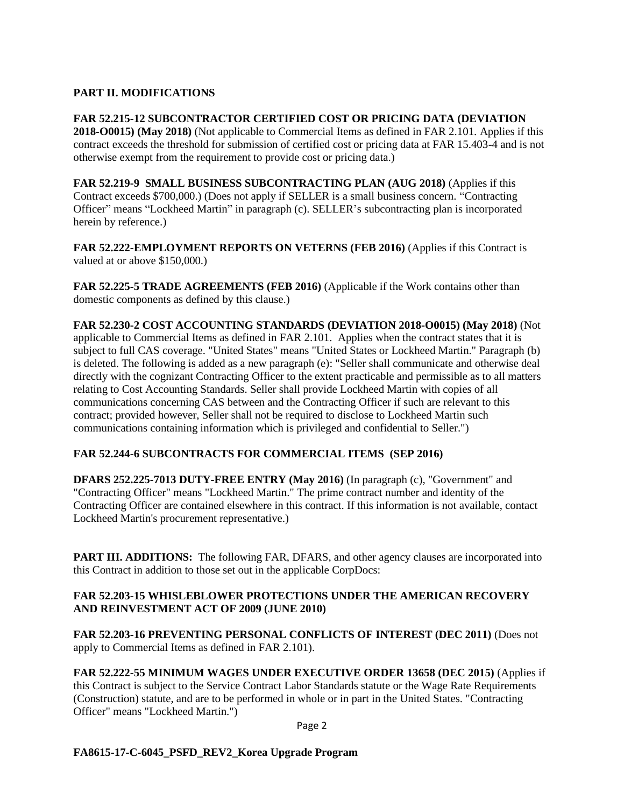# **PART II. MODIFICATIONS**

**FAR 52.215-12 SUBCONTRACTOR CERTIFIED COST OR PRICING DATA (DEVIATION 2018-O0015) (May 2018)** (Not applicable to Commercial Items as defined in FAR 2.101. Applies if this contract exceeds the threshold for submission of certified cost or pricing data at FAR 15.403-4 and is not otherwise exempt from the requirement to provide cost or pricing data.)

**FAR 52.219-9 SMALL BUSINESS SUBCONTRACTING PLAN (AUG 2018)** (Applies if this Contract exceeds \$700,000.) (Does not apply if SELLER is a small business concern. "Contracting Officer" means "Lockheed Martin" in paragraph (c). SELLER's subcontracting plan is incorporated herein by reference.)

**FAR 52.222-EMPLOYMENT REPORTS ON VETERNS (FEB 2016)** (Applies if this Contract is valued at or above \$150,000.)

**FAR 52.225-5 TRADE AGREEMENTS (FEB 2016)** (Applicable if the Work contains other than domestic components as defined by this clause.)

**FAR 52.230-2 COST ACCOUNTING STANDARDS (DEVIATION 2018-O0015) (May 2018)** (Not applicable to Commercial Items as defined in FAR 2.101. Applies when the contract states that it is subject to full CAS coverage. "United States" means "United States or Lockheed Martin." Paragraph (b) is deleted. The following is added as a new paragraph (e): "Seller shall communicate and otherwise deal directly with the cognizant Contracting Officer to the extent practicable and permissible as to all matters relating to Cost Accounting Standards. Seller shall provide Lockheed Martin with copies of all communications concerning CAS between and the Contracting Officer if such are relevant to this contract; provided however, Seller shall not be required to disclose to Lockheed Martin such communications containing information which is privileged and confidential to Seller.")

# **FAR 52.244-6 SUBCONTRACTS FOR COMMERCIAL ITEMS (SEP 2016)**

**DFARS 252.225-7013 DUTY-FREE ENTRY (May 2016)** (In paragraph (c), "Government" and "Contracting Officer" means "Lockheed Martin." The prime contract number and identity of the Contracting Officer are contained elsewhere in this contract. If this information is not available, contact Lockheed Martin's procurement representative.)

**PART III. ADDITIONS:** The following FAR, DFARS, and other agency clauses are incorporated into this Contract in addition to those set out in the applicable CorpDocs:

## **FAR 52.203-15 WHISLEBLOWER PROTECTIONS UNDER THE AMERICAN RECOVERY AND REINVESTMENT ACT OF 2009 (JUNE 2010)**

**FAR 52.203-16 PREVENTING PERSONAL CONFLICTS OF INTEREST (DEC 2011)** (Does not apply to Commercial Items as defined in FAR 2.101).

**FAR 52.222-55 MINIMUM WAGES UNDER EXECUTIVE ORDER 13658 (DEC 2015)** (Applies if this Contract is subject to the Service Contract Labor Standards statute or the Wage Rate Requirements (Construction) statute, and are to be performed in whole or in part in the United States. "Contracting Officer" means "Lockheed Martin.")

Page 2

# **FA8615-17-C-6045\_PSFD\_REV2\_Korea Upgrade Program**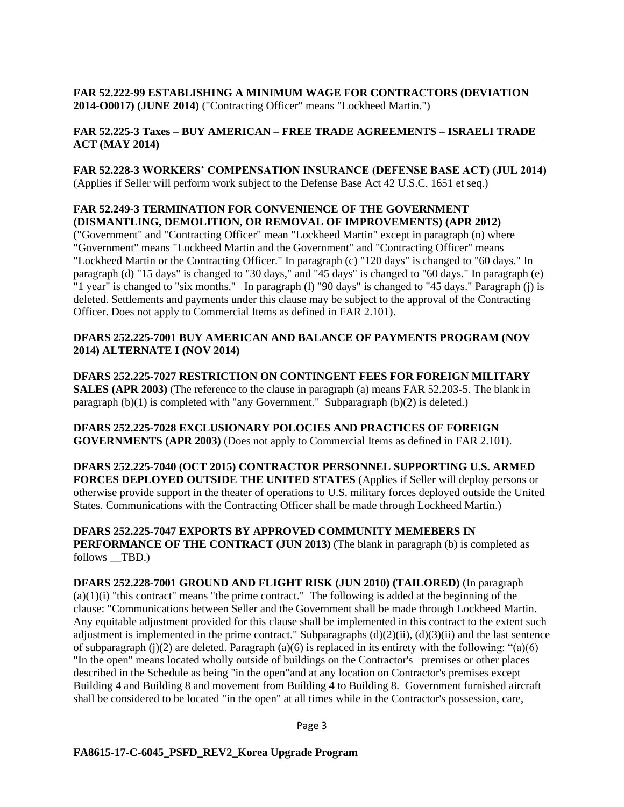**FAR 52.222-99 ESTABLISHING A MINIMUM WAGE FOR CONTRACTORS (DEVIATION 2014-O0017) (JUNE 2014)** ("Contracting Officer" means "Lockheed Martin.")

## **FAR 52.225-3 Taxes – BUY AMERICAN – FREE TRADE AGREEMENTS – ISRAELI TRADE ACT (MAY 2014)**

**FAR 52.228-3 WORKERS' COMPENSATION INSURANCE (DEFENSE BASE ACT) (JUL 2014)** (Applies if Seller will perform work subject to the Defense Base Act 42 U.S.C. 1651 et seq.)

## **FAR 52.249-3 TERMINATION FOR CONVENIENCE OF THE GOVERNMENT (DISMANTLING, DEMOLITION, OR REMOVAL OF IMPROVEMENTS) (APR 2012)**

("Government" and "Contracting Officer" mean "Lockheed Martin" except in paragraph (n) where "Government" means "Lockheed Martin and the Government" and "Contracting Officer" means "Lockheed Martin or the Contracting Officer." In paragraph (c) "120 days" is changed to "60 days." In paragraph (d) "15 days" is changed to "30 days," and "45 days" is changed to "60 days." In paragraph (e) "1 year" is changed to "six months." In paragraph (l) "90 days" is changed to "45 days." Paragraph (j) is deleted. Settlements and payments under this clause may be subject to the approval of the Contracting Officer. Does not apply to Commercial Items as defined in FAR 2.101).

### **DFARS 252.225-7001 BUY AMERICAN AND BALANCE OF PAYMENTS PROGRAM (NOV 2014) ALTERNATE I (NOV 2014)**

**DFARS 252.225-7027 RESTRICTION ON CONTINGENT FEES FOR FOREIGN MILITARY SALES (APR 2003)** (The reference to the clause in paragraph (a) means FAR 52.203-5. The blank in paragraph (b)(1) is completed with "any Government." Subparagraph (b)(2) is deleted.)

**DFARS 252.225-7028 EXCLUSIONARY POLOCIES AND PRACTICES OF FOREIGN GOVERNMENTS (APR 2003)** (Does not apply to Commercial Items as defined in FAR 2.101).

**DFARS 252.225-7040 (OCT 2015) CONTRACTOR PERSONNEL SUPPORTING U.S. ARMED FORCES DEPLOYED OUTSIDE THE UNITED STATES** (Applies if Seller will deploy persons or otherwise provide support in the theater of operations to U.S. military forces deployed outside the United States. Communications with the Contracting Officer shall be made through Lockheed Martin.)

**DFARS 252.225-7047 EXPORTS BY APPROVED COMMUNITY MEMEBERS IN PERFORMANCE OF THE CONTRACT (JUN 2013)** (The blank in paragraph (b) is completed as follows \_\_TBD.)

**DFARS 252.228-7001 GROUND AND FLIGHT RISK (JUN 2010) (TAILORED)** (In paragraph  $(a)(1)(i)$  "this contract" means "the prime contract." The following is added at the beginning of the clause: "Communications between Seller and the Government shall be made through Lockheed Martin. Any equitable adjustment provided for this clause shall be implemented in this contract to the extent such adjustment is implemented in the prime contract." Subparagraphs  $(d)(2)(ii)$ ,  $(d)(3)(ii)$  and the last sentence of subparagraph (j)(2) are deleted. Paragraph (a)(6) is replaced in its entirety with the following: "(a)(6) "In the open" means located wholly outside of buildings on the Contractor's premises or other places described in the Schedule as being "in the open"and at any location on Contractor's premises except Building 4 and Building 8 and movement from Building 4 to Building 8. Government furnished aircraft shall be considered to be located "in the open" at all times while in the Contractor's possession, care,

Page 3